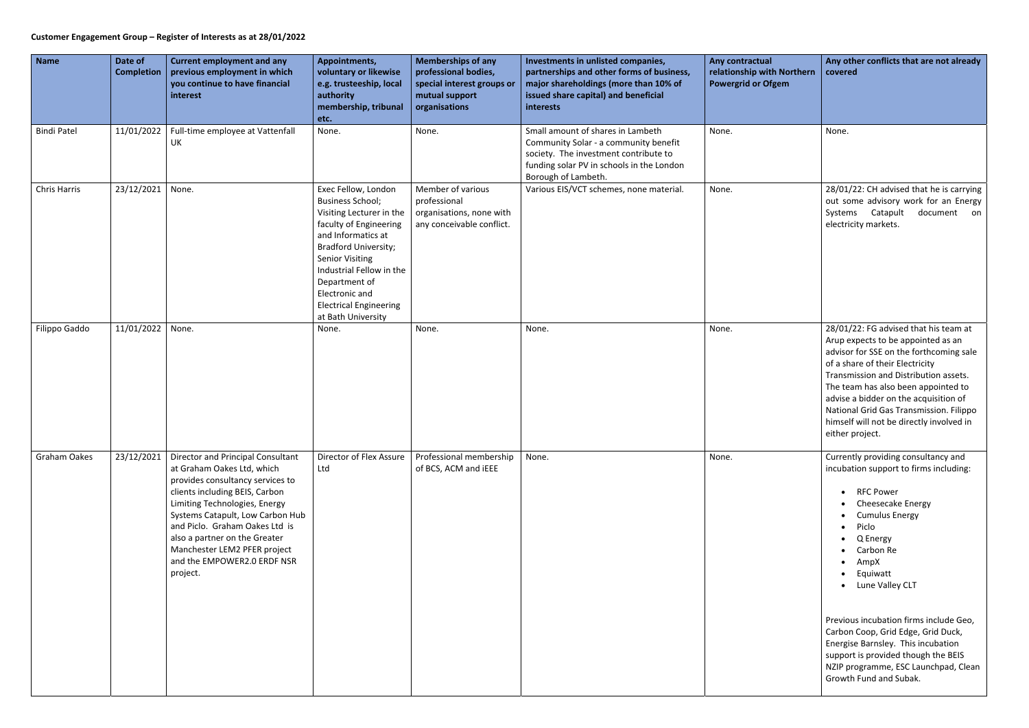## **Customer Engagement Group – Register of Interests as at 28/01/2022**

| Any contractual<br>relationship with Northern<br><b>Powergrid or Ofgem</b> | Any other conflicts that are not already<br>covered                                                                                                                                                                                                                                                                                                                                          |  |  |  |
|----------------------------------------------------------------------------|----------------------------------------------------------------------------------------------------------------------------------------------------------------------------------------------------------------------------------------------------------------------------------------------------------------------------------------------------------------------------------------------|--|--|--|
| None.                                                                      | None.                                                                                                                                                                                                                                                                                                                                                                                        |  |  |  |
| None.                                                                      | 28/01/22: CH advised that he is carrying<br>out some advisory work for an Energy<br>Systems<br>Catapult<br>document<br>on<br>electricity markets.                                                                                                                                                                                                                                            |  |  |  |
| None.                                                                      | 28/01/22: FG advised that his team at<br>Arup expects to be appointed as an<br>advisor for SSE on the forthcoming sale<br>of a share of their Electricity<br>Transmission and Distribution assets.<br>The team has also been appointed to<br>advise a bidder on the acquisition of<br>National Grid Gas Transmission. Filippo<br>himself will not be directly involved in<br>either project. |  |  |  |
| None.                                                                      | Currently providing consultancy and<br>incubation support to firms including:<br><b>RFC Power</b><br><b>Cheesecake Energy</b><br><b>Cumulus Energy</b><br>Piclo<br>Q Energy<br>$\bullet$<br>• Carbon Re<br>AmpX<br>$\bullet$<br>Equiwatt<br>Lune Valley CLT                                                                                                                                  |  |  |  |
|                                                                            | Previous incubation firms include Geo,<br>Carbon Coop, Grid Edge, Grid Duck,<br>Energise Barnsley. This incubation<br>support is provided though the BEIS<br>NZIP programme, ESC Launchpad, Clean<br>Growth Fund and Subak.                                                                                                                                                                  |  |  |  |

| <b>Name</b>         | Date of<br><b>Completion</b> | <b>Current employment and any</b><br>previous employment in which<br>you continue to have financial<br>interest                                                                                                                                                                                                                                          | Appointments,<br>voluntary or likewise<br>e.g. trusteeship, local<br>authority<br>membership, tribunal<br>etc.                                                                                                                                                                                            | <b>Memberships of any</b><br>professional bodies,<br>special interest groups or<br>mutual support<br>organisations | Investments in unlisted companies,<br>partnerships and other forms of business,<br>major shareholdings (more than 10% of<br>issued share capital) and beneficial<br>interests           | Any contractual<br>relationship with Northern<br><b>Powergrid or Ofgem</b> | Any other conflicts that are not already<br>covered                                                                                                                                                                                                                                                                                                                                                                                                     |
|---------------------|------------------------------|----------------------------------------------------------------------------------------------------------------------------------------------------------------------------------------------------------------------------------------------------------------------------------------------------------------------------------------------------------|-----------------------------------------------------------------------------------------------------------------------------------------------------------------------------------------------------------------------------------------------------------------------------------------------------------|--------------------------------------------------------------------------------------------------------------------|-----------------------------------------------------------------------------------------------------------------------------------------------------------------------------------------|----------------------------------------------------------------------------|---------------------------------------------------------------------------------------------------------------------------------------------------------------------------------------------------------------------------------------------------------------------------------------------------------------------------------------------------------------------------------------------------------------------------------------------------------|
| <b>Bindi Patel</b>  |                              | 11/01/2022   Full-time employee at Vattenfall<br>UK                                                                                                                                                                                                                                                                                                      | None.                                                                                                                                                                                                                                                                                                     | None.                                                                                                              | Small amount of shares in Lambeth<br>Community Solar - a community benefit<br>society. The investment contribute to<br>funding solar PV in schools in the London<br>Borough of Lambeth. | None.                                                                      | None.                                                                                                                                                                                                                                                                                                                                                                                                                                                   |
| <b>Chris Harris</b> | 23/12/2021                   | None.                                                                                                                                                                                                                                                                                                                                                    | Exec Fellow, London<br><b>Business School;</b><br>Visiting Lecturer in the<br>faculty of Engineering<br>and Informatics at<br><b>Bradford University;</b><br><b>Senior Visiting</b><br>Industrial Fellow in the<br>Department of<br>Electronic and<br><b>Electrical Engineering</b><br>at Bath University | Member of various<br>professional<br>organisations, none with<br>any conceivable conflict.                         | Various EIS/VCT schemes, none material.                                                                                                                                                 | None.                                                                      | 28/01/22: CH advised that he is carrying<br>out some advisory work for an Energy<br>Systems Catapult<br>document on<br>electricity markets.                                                                                                                                                                                                                                                                                                             |
| Filippo Gaddo       | 11/01/2022                   | None.                                                                                                                                                                                                                                                                                                                                                    | None.                                                                                                                                                                                                                                                                                                     | None.                                                                                                              | None.                                                                                                                                                                                   | None.                                                                      | 28/01/22: FG advised that his team at<br>Arup expects to be appointed as an<br>advisor for SSE on the forthcoming sale<br>of a share of their Electricity<br>Transmission and Distribution assets.<br>The team has also been appointed to<br>advise a bidder on the acquisition of<br>National Grid Gas Transmission. Filippo<br>himself will not be directly involved in<br>either project.                                                            |
| Graham Oakes        | 23/12/2021                   | Director and Principal Consultant<br>at Graham Oakes Ltd, which<br>provides consultancy services to<br>clients including BEIS, Carbon<br>Limiting Technologies, Energy<br>Systems Catapult, Low Carbon Hub<br>and Piclo. Graham Oakes Ltd is<br>also a partner on the Greater<br>Manchester LEM2 PFER project<br>and the EMPOWER2.0 ERDF NSR<br>project. | Director of Flex Assure<br>Ltd                                                                                                                                                                                                                                                                            | Professional membership<br>of BCS, ACM and IEEE                                                                    | None.                                                                                                                                                                                   | None.                                                                      | Currently providing consultancy and<br>incubation support to firms including:<br>• RFC Power<br>• Cheesecake Energy<br>• Cumulus Energy<br>• Piclo<br>Q Energy<br>• Carbon Re<br>AmpX<br>• Equiwatt<br>• Lune Valley CLT<br>Previous incubation firms include Geo,<br>Carbon Coop, Grid Edge, Grid Duck,<br>Energise Barnsley. This incubation<br>support is provided though the BEIS<br>NZIP programme, ESC Launchpad, Clean<br>Growth Fund and Subak. |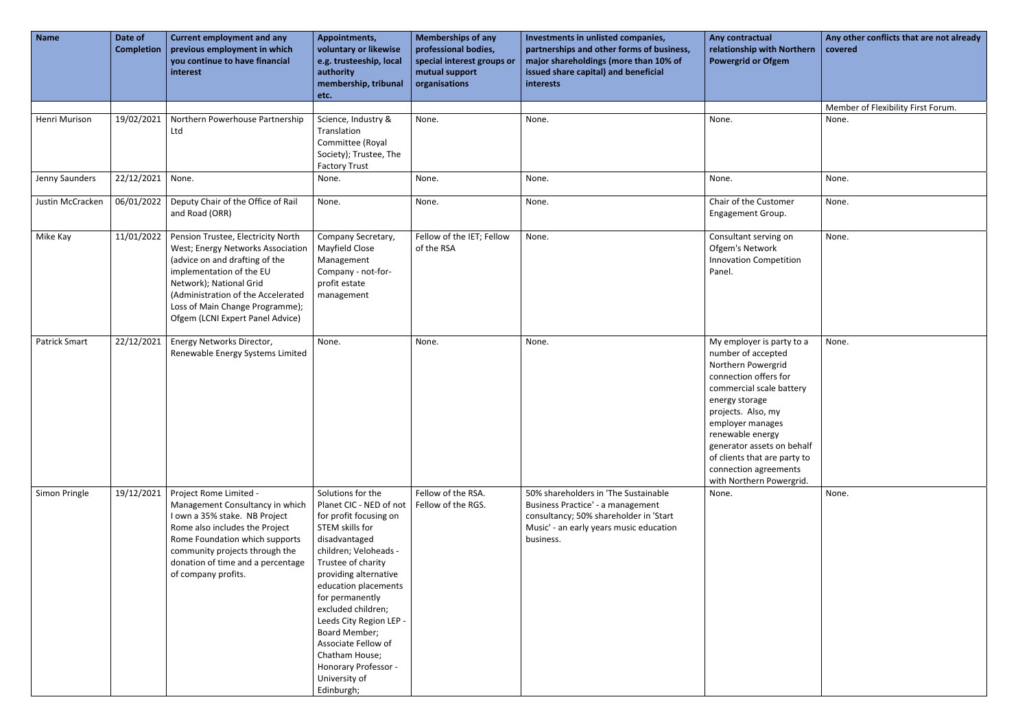| <b>Name</b>          | Date of<br><b>Completion</b> | <b>Current employment and any</b><br>previous employment in which<br>you continue to have financial<br>interest                                                                                                                                                               | Appointments,<br>voluntary or likewise<br>e.g. trusteeship, local<br>authority<br>membership, tribunal<br>etc.                                                                                                                                                                                                                                                                                  | <b>Memberships of any</b><br>professional bodies,<br>special interest groups or<br>mutual support<br>organisations | Investments in unlisted companies,<br>partnerships and other forms of business,<br>major shareholdings (more than 10% of<br>issued share capital) and beneficial<br>interests | Any contractual<br>relationship with Northern<br><b>Powergrid or Ofgem</b>                                                                                                                                                                                                                                                    | Any of<br>covere |
|----------------------|------------------------------|-------------------------------------------------------------------------------------------------------------------------------------------------------------------------------------------------------------------------------------------------------------------------------|-------------------------------------------------------------------------------------------------------------------------------------------------------------------------------------------------------------------------------------------------------------------------------------------------------------------------------------------------------------------------------------------------|--------------------------------------------------------------------------------------------------------------------|-------------------------------------------------------------------------------------------------------------------------------------------------------------------------------|-------------------------------------------------------------------------------------------------------------------------------------------------------------------------------------------------------------------------------------------------------------------------------------------------------------------------------|------------------|
| Henri Murison        | 19/02/2021                   | Northern Powerhouse Partnership<br>Ltd                                                                                                                                                                                                                                        | Science, Industry &<br>Translation<br>Committee (Royal<br>Society); Trustee, The<br><b>Factory Trust</b>                                                                                                                                                                                                                                                                                        | None.                                                                                                              | None.                                                                                                                                                                         | None.                                                                                                                                                                                                                                                                                                                         | Memb<br>None.    |
| Jenny Saunders       | 22/12/2021                   | None.                                                                                                                                                                                                                                                                         | None.                                                                                                                                                                                                                                                                                                                                                                                           | None.                                                                                                              | None.                                                                                                                                                                         | None.                                                                                                                                                                                                                                                                                                                         | None.            |
| Justin McCracken     | 06/01/2022                   | Deputy Chair of the Office of Rail<br>and Road (ORR)                                                                                                                                                                                                                          | None.                                                                                                                                                                                                                                                                                                                                                                                           | None.                                                                                                              | None.                                                                                                                                                                         | Chair of the Customer<br>Engagement Group.                                                                                                                                                                                                                                                                                    | None.            |
| Mike Kay             | 11/01/2022                   | Pension Trustee, Electricity North<br>West; Energy Networks Association<br>(advice on and drafting of the<br>implementation of the EU<br>Network); National Grid<br>(Administration of the Accelerated<br>Loss of Main Change Programme);<br>Ofgem (LCNI Expert Panel Advice) | Company Secretary,<br>Mayfield Close<br>Management<br>Company - not-for-<br>profit estate<br>management                                                                                                                                                                                                                                                                                         | Fellow of the IET; Fellow<br>of the RSA                                                                            | None.                                                                                                                                                                         | Consultant serving on<br>Ofgem's Network<br><b>Innovation Competition</b><br>Panel.                                                                                                                                                                                                                                           | None.            |
| <b>Patrick Smart</b> | 22/12/2021                   | Energy Networks Director,<br>Renewable Energy Systems Limited                                                                                                                                                                                                                 | None.                                                                                                                                                                                                                                                                                                                                                                                           | None.                                                                                                              | None.                                                                                                                                                                         | My employer is party to a<br>number of accepted<br>Northern Powergrid<br>connection offers for<br>commercial scale battery<br>energy storage<br>projects. Also, my<br>employer manages<br>renewable energy<br>generator assets on behalf<br>of clients that are party to<br>connection agreements<br>with Northern Powergrid. | None.            |
| Simon Pringle        | 19/12/2021                   | Project Rome Limited -<br>Management Consultancy in which<br>I own a 35% stake. NB Project<br>Rome also includes the Project<br>Rome Foundation which supports<br>community projects through the<br>donation of time and a percentage<br>of company profits.                  | Solutions for the<br>Planet CIC - NED of not<br>for profit focusing on<br>STEM skills for<br>disadvantaged<br>children; Veloheads -<br>Trustee of charity<br>providing alternative<br>education placements<br>for permanently<br>excluded children;<br>Leeds City Region LEP -<br>Board Member;<br>Associate Fellow of<br>Chatham House;<br>Honorary Professor -<br>University of<br>Edinburgh; | Fellow of the RSA.<br>Fellow of the RGS.                                                                           | 50% shareholders in 'The Sustainable<br>Business Practice' - a management<br>consultancy; 50% shareholder in 'Start<br>Music' - an early years music education<br>business.   | None.                                                                                                                                                                                                                                                                                                                         | None.            |

| Any other conflicts that are not already<br>Any contractual<br>relationship with Northern<br>covered<br><b>Powergrid or Ofgem</b>                                                                                                                                                                          |  |
|------------------------------------------------------------------------------------------------------------------------------------------------------------------------------------------------------------------------------------------------------------------------------------------------------------|--|
| Member of Flexibility First Forum.                                                                                                                                                                                                                                                                         |  |
| None.<br>None.                                                                                                                                                                                                                                                                                             |  |
| None.<br>None.                                                                                                                                                                                                                                                                                             |  |
| Chair of the Customer<br>None.<br>Engagement Group.                                                                                                                                                                                                                                                        |  |
| Consultant serving on<br>None.<br>Ofgem's Network<br><b>Innovation Competition</b><br>Panel.                                                                                                                                                                                                               |  |
| My employer is party to a<br>None.<br>number of accepted<br>Northern Powergrid<br>connection offers for<br>commercial scale battery<br>energy storage<br>projects. Also, my<br>employer manages<br>renewable energy<br>generator assets on behalf<br>of clients that are party to<br>connection agreements |  |
| None.<br>None.                                                                                                                                                                                                                                                                                             |  |
| with Northern Powergrid.                                                                                                                                                                                                                                                                                   |  |